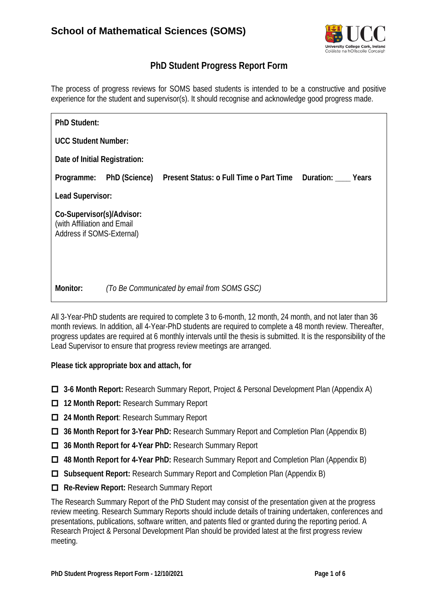

### **PhD Student Progress Report Form**

The process of progress reviews for SOMS based students is intended to be a constructive and positive experience for the student and supervisor(s). It should recognise and acknowledge good progress made.

| <b>PhD Student:</b>                                                                   |                                             |                                                                |  |  |  |
|---------------------------------------------------------------------------------------|---------------------------------------------|----------------------------------------------------------------|--|--|--|
| <b>UCC Student Number:</b>                                                            |                                             |                                                                |  |  |  |
| Date of Initial Registration:                                                         |                                             |                                                                |  |  |  |
| Programme:                                                                            | <b>PhD (Science)</b>                        | <b>Present Status: o Full Time o Part Time Duration: Years</b> |  |  |  |
| <b>Lead Supervisor:</b>                                                               |                                             |                                                                |  |  |  |
| Co-Supervisor(s)/Advisor:<br>(with Affiliation and Email<br>Address if SOMS-External) |                                             |                                                                |  |  |  |
| <b>Monitor:</b>                                                                       | (To Be Communicated by email from SOMS GSC) |                                                                |  |  |  |

All 3-Year-PhD students are required to complete 3 to 6-month, 12 month, 24 month, and not later than 36 month reviews. In addition, all 4-Year-PhD students are required to complete a 48 month review. Thereafter, progress updates are required at 6 monthly intervals until the thesis is submitted. It is the responsibility of the Lead Supervisor to ensure that progress review meetings are arranged.

#### **Please tick appropriate box and attach, for**

- **3-6 Month Report:** Research Summary Report, Project & Personal Development Plan (Appendix A)
- **12 Month Report: Research Summary Report**
- $\Box$  **24 Month Report:** Research Summary Report
- **36 Month Report for 3-Year PhD:** Research Summary Report and Completion Plan (Appendix B)
- **36 Month Report for 4-Year PhD:** Research Summary Report
- **48 Month Report for 4-Year PhD:** Research Summary Report and Completion Plan (Appendix B)
- **Subsequent Report:** Research Summary Report and Completion Plan (Appendix B)
- **Re-Review Report:** Research Summary Report

The Research Summary Report of the PhD Student may consist of the presentation given at the progress review meeting. Research Summary Reports should include details of training undertaken, conferences and presentations, publications, software written, and patents filed or granted during the reporting period. A Research Project & Personal Development Plan should be provided latest at the first progress review meeting.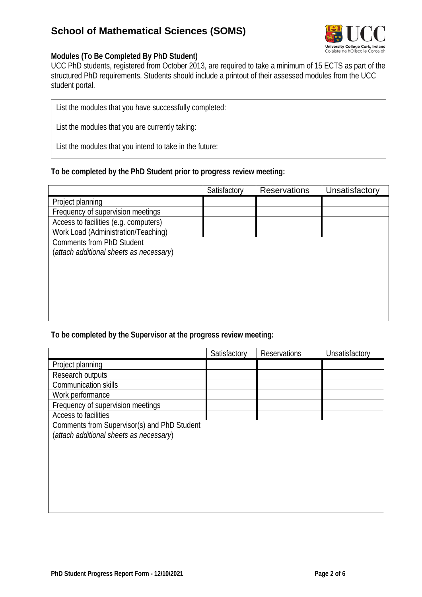# **School of Mathematical Sciences (SOMS)**



#### **Modules (To Be Completed By PhD Student)**

UCC PhD students, registered from October 2013, are required to take a minimum of 15 ECTS as part of the structured PhD requirements. Students should include a printout of their assessed modules from the UCC student portal.

List the modules that you have successfully completed:

List the modules that you are currently taking:

List the modules that you intend to take in the future:

#### **To be completed by the PhD Student prior to progress review meeting:**

|                                         | Satisfactory | <b>Reservations</b> | Unsatisfactory |
|-----------------------------------------|--------------|---------------------|----------------|
| Project planning                        |              |                     |                |
| Frequency of supervision meetings       |              |                     |                |
| Access to facilities (e.g. computers)   |              |                     |                |
| Work Load (Administration/Teaching)     |              |                     |                |
| <b>Comments from PhD Student</b>        |              |                     |                |
| (attach additional sheets as necessary) |              |                     |                |
|                                         |              |                     |                |
|                                         |              |                     |                |
|                                         |              |                     |                |
|                                         |              |                     |                |
|                                         |              |                     |                |
|                                         |              |                     |                |

#### **To be completed by the Supervisor at the progress review meeting:**

|                                             | Satisfactory | Reservations | Unsatisfactory |
|---------------------------------------------|--------------|--------------|----------------|
| Project planning                            |              |              |                |
| Research outputs                            |              |              |                |
| <b>Communication skills</b>                 |              |              |                |
| Work performance                            |              |              |                |
| Frequency of supervision meetings           |              |              |                |
| <b>Access to facilities</b>                 |              |              |                |
| Comments from Supervisor(s) and PhD Student |              |              |                |
| (attach additional sheets as necessary)     |              |              |                |
|                                             |              |              |                |
|                                             |              |              |                |
|                                             |              |              |                |
|                                             |              |              |                |
|                                             |              |              |                |
|                                             |              |              |                |
|                                             |              |              |                |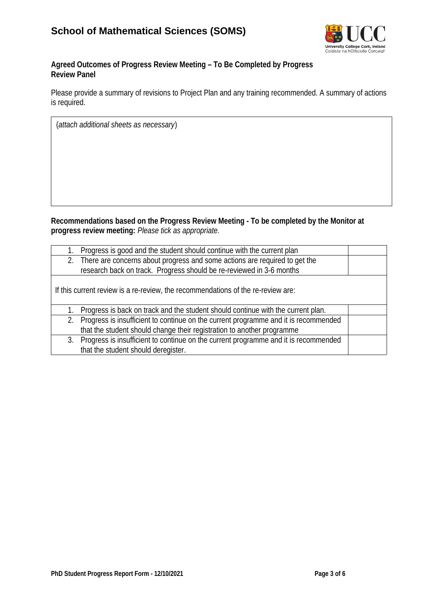

#### **Agreed Outcomes of Progress Review Meeting – To Be Completed by Progress Review Panel**

Please provide a summary of revisions to Project Plan and any training recommended. A summary of actions is required.

(*attach additional sheets as necessary*)

**Recommendations based on the Progress Review Meeting - To be completed by the Monitor at progress review meeting:** *Please tick as appropriate.*

| Progress is good and the student should continue with the current plan                    |  |  |
|-------------------------------------------------------------------------------------------|--|--|
| 2. There are concerns about progress and some actions are required to get the             |  |  |
| research back on track. Progress should be re-reviewed in 3-6 months                      |  |  |
|                                                                                           |  |  |
| If this current review is a re-review, the recommendations of the re-review are:          |  |  |
|                                                                                           |  |  |
| Progress is back on track and the student should continue with the current plan.          |  |  |
| Progress is insufficient to continue on the current programme and it is recommended<br>2. |  |  |
| that the student should change their registration to another programme                    |  |  |
| 3. Progress is insufficient to continue on the current programme and it is recommended    |  |  |
| that the student should deregister.                                                       |  |  |
|                                                                                           |  |  |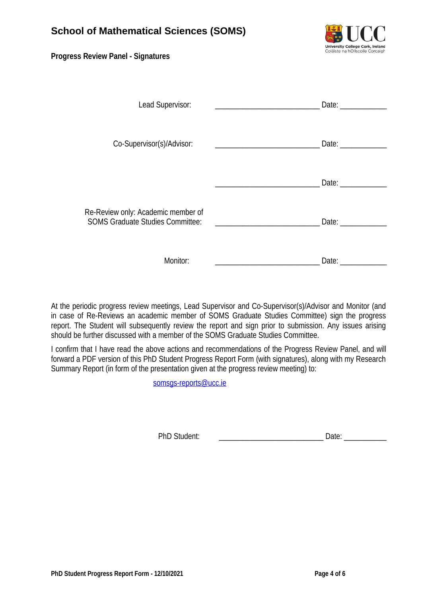#### **Progress Review Panel - Signatures**



| Lead Supervisor:                                                              | Date: |
|-------------------------------------------------------------------------------|-------|
| Co-Supervisor(s)/Advisor:                                                     | Date: |
|                                                                               | Date: |
| Re-Review only: Academic member of<br><b>SOMS Graduate Studies Committee:</b> | Date: |
| Monitor:                                                                      | Date: |

At the periodic progress review meetings, Lead Supervisor and Co-Supervisor(s)/Advisor and Monitor (and in case of Re-Reviews an academic member of SOMS Graduate Studies Committee) sign the progress report. The Student will subsequently review the report and sign prior to submission. Any issues arising should be further discussed with a member of the SOMS Graduate Studies Committee.

I confirm that I have read the above actions and recommendations of the Progress Review Panel, and will forward a PDF version of this PhD Student Progress Report Form (with signatures), along with my Research Summary Report (in form of the presentation given at the progress review meeting) to:

somsgs-reports@ucc.ie

PhD Student: **Example 20** and 20 and 20 and 20 and 20 and 20 and 20 and 20 and 20 and 20 and 20 and 20 and 20 and 20 and 20 and 20 and 20 and 20 and 20 and 20 and 20 and 20 and 20 and 20 and 20 and 20 and 20 and 20 and 20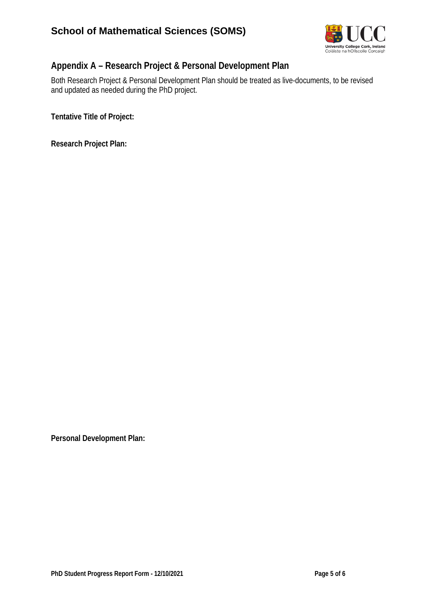

# **Appendix A – Research Project & Personal Development Plan**

Both Research Project & Personal Development Plan should be treated as live-documents, to be revised and updated as needed during the PhD project.

**Tentative Title of Project:** 

**Research Project Plan:**

**Personal Development Plan:**